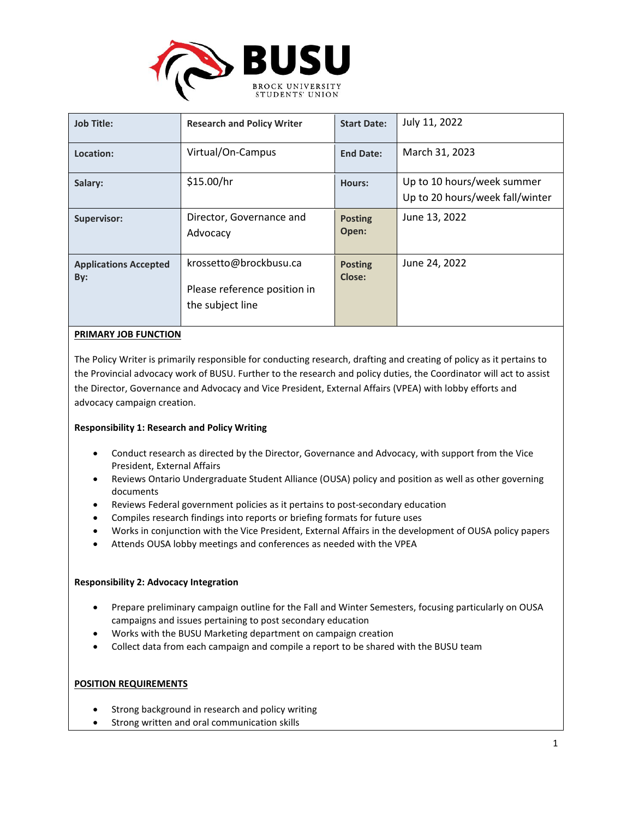

| <b>Job Title:</b>                   | <b>Research and Policy Writer</b>                                          | <b>Start Date:</b>       | July 11, 2022                   |
|-------------------------------------|----------------------------------------------------------------------------|--------------------------|---------------------------------|
| Location:                           | Virtual/On-Campus                                                          | <b>End Date:</b>         | March 31, 2023                  |
| Salary:                             | \$15.00/hr                                                                 | Hours:                   | Up to 10 hours/week summer      |
|                                     |                                                                            |                          | Up to 20 hours/week fall/winter |
| <b>Supervisor:</b>                  | Director, Governance and<br>Advocacy                                       | <b>Posting</b><br>Open:  | June 13, 2022                   |
| <b>Applications Accepted</b><br>By: | krossetto@brockbusu.ca<br>Please reference position in<br>the subject line | <b>Posting</b><br>Close: | June 24, 2022                   |

# **PRIMARY JOB FUNCTION**

The Policy Writer is primarily responsible for conducting research, drafting and creating of policy as it pertains to the Provincial advocacy work of BUSU. Further to the research and policy duties, the Coordinator will act to assist the Director, Governance and Advocacy and Vice President, External Affairs (VPEA) with lobby efforts and advocacy campaign creation.

# **Responsibility 1: Research and Policy Writing**

- Conduct research as directed by the Director, Governance and Advocacy, with support from the Vice President, External Affairs
- Reviews Ontario Undergraduate Student Alliance (OUSA) policy and position as well as other governing documents
- Reviews Federal government policies as it pertains to post-secondary education
- Compiles research findings into reports or briefing formats for future uses
- Works in conjunction with the Vice President, External Affairs in the development of OUSA policy papers
- Attends OUSA lobby meetings and conferences as needed with the VPEA

# **Responsibility 2: Advocacy Integration**

- Prepare preliminary campaign outline for the Fall and Winter Semesters, focusing particularly on OUSA campaigns and issues pertaining to post secondary education
- Works with the BUSU Marketing department on campaign creation
- Collect data from each campaign and compile a report to be shared with the BUSU team

# **POSITION REQUIREMENTS**

- Strong background in research and policy writing
- Strong written and oral communication skills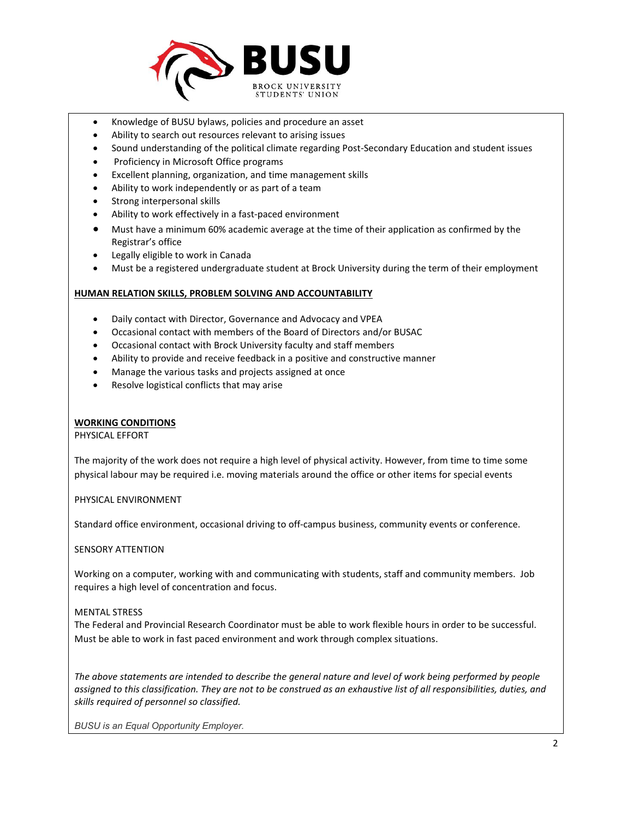

- Knowledge of BUSU bylaws, policies and procedure an asset
- Ability to search out resources relevant to arising issues
- Sound understanding of the political climate regarding Post-Secondary Education and student issues
- Proficiency in Microsoft Office programs
- Excellent planning, organization, and time management skills
- Ability to work independently or as part of a team
- Strong interpersonal skills
- Ability to work effectively in a fast-paced environment
- Must have a minimum 60% academic average at the time of their application as confirmed by the Registrar's office
- Legally eligible to work in Canada
- Must be a registered undergraduate student at Brock University during the term of their employment

### **HUMAN RELATION SKILLS, PROBLEM SOLVING AND ACCOUNTABILITY**

- Daily contact with Director, Governance and Advocacy and VPEA
- Occasional contact with members of the Board of Directors and/or BUSAC
- Occasional contact with Brock University faculty and staff members
- Ability to provide and receive feedback in a positive and constructive manner
- Manage the various tasks and projects assigned at once
- Resolve logistical conflicts that may arise

# **WORKING CONDITIONS**

PHYSICAL EFFORT

The majority of the work does not require a high level of physical activity. However, from time to time some physical labour may be required i.e. moving materials around the office or other items for special events

PHYSICAL ENVIRONMENT

Standard office environment, occasional driving to off-campus business, community events or conference.

SENSORY ATTENTION

Working on a computer, working with and communicating with students, staff and community members. Job requires a high level of concentration and focus.

### MENTAL STRESS

The Federal and Provincial Research Coordinator must be able to work flexible hours in order to be successful. Must be able to work in fast paced environment and work through complex situations.

*The above statements are intended to describe the general nature and level of work being performed by people assigned to this classification. They are not to be construed as an exhaustive list of all responsibilities, duties, and skills required of personnel so classified.*

*BUSU is an Equal Opportunity Employer.*